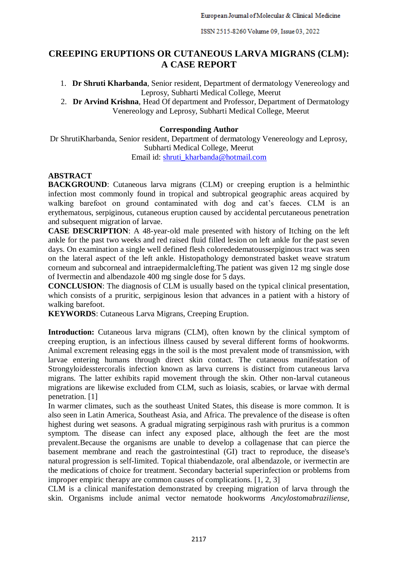# **CREEPING ERUPTIONS OR CUTANEOUS LARVA MIGRANS (CLM): A CASE REPORT**

1. **Dr Shruti Kharbanda**, Senior resident, Department of dermatology Venereology and Leprosy, Subharti Medical College, Meerut

2. **Dr Arvind Krishna**, Head Of department and Professor, Department of Dermatology Venereology and Leprosy, Subharti Medical College, Meerut

## **Corresponding Author**

Dr ShrutiKharbanda, Senior resident, Department of dermatology Venereology and Leprosy, Subharti Medical College, Meerut Email id: [shruti\\_kharbanda@hotmail.com](mailto:shruti_kharbanda@hotmail.com)

# **ABSTRACT**

**BACKGROUND:** Cutaneous larva migrans (CLM) or creeping eruption is a helminthic infection most commonly found in tropical and subtropical geographic areas acquired by walking barefoot on ground contaminated with dog and cat's faeces. CLM is an erythematous, serpiginous, cutaneous eruption caused by accidental percutaneous penetration and subsequent migration of larvae.

**CASE DESCRIPTION**: A 48-year-old male presented with history of Itching on the left ankle for the past two weeks and red raised fluid filled lesion on left ankle for the past seven days. On examination a single well defined flesh colorededematousserpiginous tract was seen on the lateral aspect of the left ankle. Histopathology demonstrated basket weave stratum corneum and subcorneal and intraepidermalclefting.The patient was given 12 mg single dose of Ivermectin and albendazole 400 mg single dose for 5 days.

**CONCLUSION**: The diagnosis of CLM is usually based on the typical clinical presentation, which consists of a pruritic, serpiginous lesion that advances in a patient with a history of walking barefoot.

**KEYWORDS**: Cutaneous Larva Migrans, Creeping Eruption.

**Introduction:** Cutaneous larva migrans (CLM), often known by the clinical symptom of creeping eruption, is an infectious illness caused by several different forms of hookworms. Animal excrement releasing eggs in the soil is the most prevalent mode of transmission, with larvae entering humans through direct skin contact. The cutaneous manifestation of Strongyloidesstercoralis infection known as larva currens is distinct from cutaneous larva migrans. The latter exhibits rapid movement through the skin. Other non-larval cutaneous migrations are likewise excluded from CLM, such as loiasis, scabies, or larvae with dermal penetration. [1]

In warmer climates, such as the southeast United States, this disease is more common. It is also seen in Latin America, Southeast Asia, and Africa. The prevalence of the disease is often highest during wet seasons. A gradual migrating serpiginous rash with pruritus is a common symptom. The disease can infect any exposed place, although the feet are the most prevalent.Because the organisms are unable to develop a collagenase that can pierce the basement membrane and reach the gastrointestinal (GI) tract to reproduce, the disease's natural progression is self-limited. Topical thiabendazole, oral albendazole, or ivermectin are the medications of choice for treatment. Secondary bacterial superinfection or problems from improper empiric therapy are common causes of complications. [1, 2, 3]

CLM is a clinical manifestation demonstrated by creeping migration of larva through the skin. Organisms include animal vector nematode hookworms *Ancylostomabraziliense,*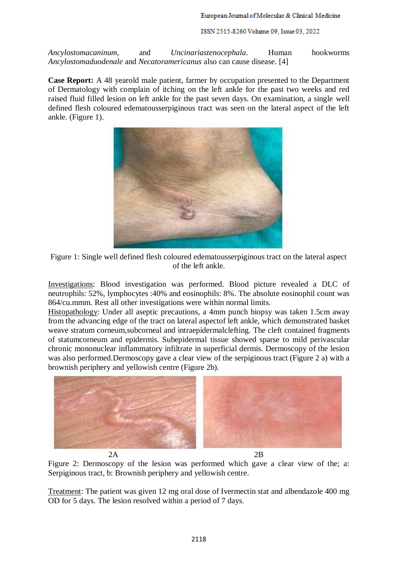ISSN 2515-8260 Volume 09, Issue 03, 2022

*Ancylostomacaninum,* and *Uncinariastenocephala*. Human hookworms *Ancylostomaduodenale* and *Necatoramericanus* also can cause disease. [4]

**Case Report:** A 48 yearold male patient, farmer by occupation presented to the Department of Dermatology with complain of itching on the left ankle for the past two weeks and red raised fluid filled lesion on left ankle for the past seven days. On examination, a single well defined flesh coloured edematousserpiginous tract was seen on the lateral aspect of the left ankle. (Figure 1).





Investigations: Blood investigation was performed. Blood picture revealed a DLC of neutrophils: 52%, lymphocytes :40% and eosinophils: 8%. The absolute eosinophil count was 864/cu.mmm. Rest all other investigations were within normal limits.

Histopathology: Under all aseptic precautions, a 4mm punch biopsy was taken 1.5cm away from the advancing edge of the tract on lateral aspectof left ankle, which demonstrated basket weave stratum corneum,subcorneal and intraepidermalclefting. The cleft contained fragments of statumcorneum and epidermis. Subepidermal tissue showed sparse to mild perivascular chronic mononuclear inflammatory infiltrate in superficial dermis. Dermoscopy of the lesion was also performed.Dermoscopy gave a clear view of the serpiginous tract (Figure 2 a) with a brownish periphery and yellowish centre (Figure 2b).



Figure 2: Dermoscopy of the lesion was performed which gave a clear view of the; a: Serpiginous tract, b: Brownish periphery and yellowish centre.

Treatment: The patient was given 12 mg oral dose of Ivermectin stat and albendazole 400 mg OD for 5 days. The lesion resolved within a period of 7 days.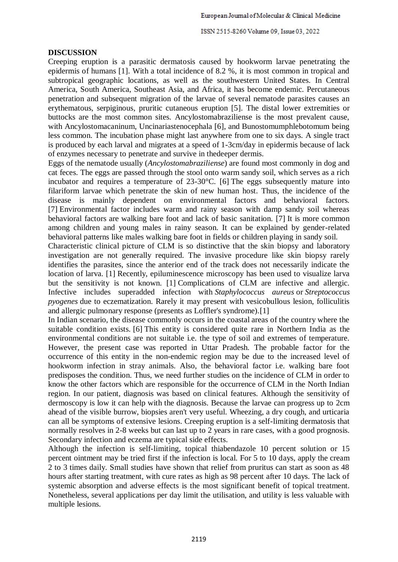ISSN 2515-8260 Volume 09, Issue 03, 2022

## **DISCUSSION**

Creeping eruption is a parasitic dermatosis caused by hookworm larvae penetrating the epidermis of humans [1]. With a total incidence of 8.2 %, it is most common in tropical and subtropical geographic locations, as well as the southwestern United States. In Central America, South America, Southeast Asia, and Africa, it has become endemic. Percutaneous penetration and subsequent migration of the larvae of several nematode parasites causes an erythematous, serpiginous, pruritic cutaneous eruption [5]. The distal lower extremities or buttocks are the most common sites. Ancylostomabraziliense is the most prevalent cause, with Ancylostomacaninum, Uncinariastenocephala [6], and Bunostomumphlebotomum being less common. The incubation phase might last anywhere from one to six days. A single tract is produced by each larval and migrates at a speed of 1-3cm/day in epidermis because of lack of enzymes necessary to penetrate and survive in thedeeper dermis.

Eggs of the nematode usually (*Ancylostomabraziliense*) are found most commonly in dog and cat feces. The eggs are passed through the stool onto warm sandy soil, which serves as a rich incubator and requires a temperature of 23-30°C. [6] The eggs subsequently mature into filariform larvae which penetrate the skin of new human host. Thus, the incidence of the disease is mainly dependent on environmental factors and behavioral factors. [7] Environmental factor includes warm and rainy season with damp sandy soil whereas behavioral factors are walking bare foot and lack of basic sanitation. [7] It is more common among children and young males in rainy season. It can be explained by gender-related behavioral patterns like males walking bare foot in fields or children playing in sandy soil.

Characteristic clinical picture of CLM is so distinctive that the skin biopsy and laboratory investigation are not generally required. The invasive procedure like skin biopsy rarely identifies the parasites, since the anterior end of the track does not necessarily indicate the location of larva. [1] Recently, epiluminescence microscopy has been used to visualize larva but the sensitivity is not known. [1] Complications of CLM are infective and allergic. Infective includes superadded infection with *Staphylococcus aureus* or *Streptococcus pyogenes* due to eczematization. Rarely it may present with vesicobullous lesion, folliculitis and allergic pulmonary response (presents as Loffler's syndrome).[1]

In Indian scenario, the disease commonly occurs in the coastal areas of the country where the suitable condition exists. [6] This entity is considered quite rare in Northern India as the environmental conditions are not suitable i.e. the type of soil and extremes of temperature. However, the present case was reported in Uttar Pradesh. The probable factor for the occurrence of this entity in the non-endemic region may be due to the increased level of hookworm infection in stray animals. Also, the behavioral factor i.e. walking bare foot predisposes the condition. Thus, we need further studies on the incidence of CLM in order to know the other factors which are responsible for the occurrence of CLM in the North Indian region. In our patient, diagnosis was based on clinical features. Although the sensitivity of dermoscopy is low it can help with the diagnosis. Because the larvae can progress up to 2cm ahead of the visible burrow, biopsies aren't very useful. Wheezing, a dry cough, and urticaria can all be symptoms of extensive lesions. Creeping eruption is a self-limiting dermatosis that normally resolves in 2-8 weeks but can last up to 2 years in rare cases, with a good prognosis. Secondary infection and eczema are typical side effects.

Although the infection is self-limiting, topical thiabendazole 10 percent solution or 15 percent ointment may be tried first if the infection is local. For 5 to 10 days, apply the cream 2 to 3 times daily. Small studies have shown that relief from pruritus can start as soon as 48 hours after starting treatment, with cure rates as high as 98 percent after 10 days. The lack of systemic absorption and adverse effects is the most significant benefit of topical treatment. Nonetheless, several applications per day limit the utilisation, and utility is less valuable with multiple lesions.